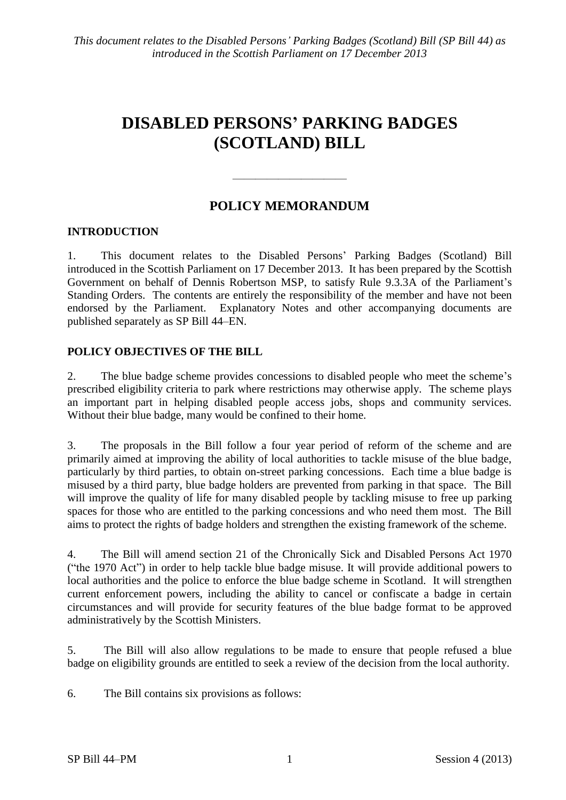## **DISABLED PERSONS' PARKING BADGES (SCOTLAND) BILL**

## **POLICY MEMORANDUM**

 $\frac{1}{\sqrt{2}}$ 

### **INTRODUCTION**

1. This document relates to the Disabled Persons' Parking Badges (Scotland) Bill introduced in the Scottish Parliament on 17 December 2013. It has been prepared by the Scottish Government on behalf of Dennis Robertson MSP, to satisfy Rule 9.3.3A of the Parliament's Standing Orders. The contents are entirely the responsibility of the member and have not been endorsed by the Parliament. Explanatory Notes and other accompanying documents are published separately as SP Bill 44–EN.

#### **POLICY OBJECTIVES OF THE BILL**

2. The blue badge scheme provides concessions to disabled people who meet the scheme's prescribed eligibility criteria to park where restrictions may otherwise apply. The scheme plays an important part in helping disabled people access jobs, shops and community services. Without their blue badge, many would be confined to their home.

3. The proposals in the Bill follow a four year period of reform of the scheme and are primarily aimed at improving the ability of local authorities to tackle misuse of the blue badge, particularly by third parties, to obtain on-street parking concessions. Each time a blue badge is misused by a third party, blue badge holders are prevented from parking in that space. The Bill will improve the quality of life for many disabled people by tackling misuse to free up parking spaces for those who are entitled to the parking concessions and who need them most. The Bill aims to protect the rights of badge holders and strengthen the existing framework of the scheme.

4. The Bill will amend section 21 of the Chronically Sick and Disabled Persons Act 1970 ("the 1970 Act") in order to help tackle blue badge misuse. It will provide additional powers to local authorities and the police to enforce the blue badge scheme in Scotland. It will strengthen current enforcement powers, including the ability to cancel or confiscate a badge in certain circumstances and will provide for security features of the blue badge format to be approved administratively by the Scottish Ministers.

5. The Bill will also allow regulations to be made to ensure that people refused a blue badge on eligibility grounds are entitled to seek a review of the decision from the local authority.

6. The Bill contains six provisions as follows: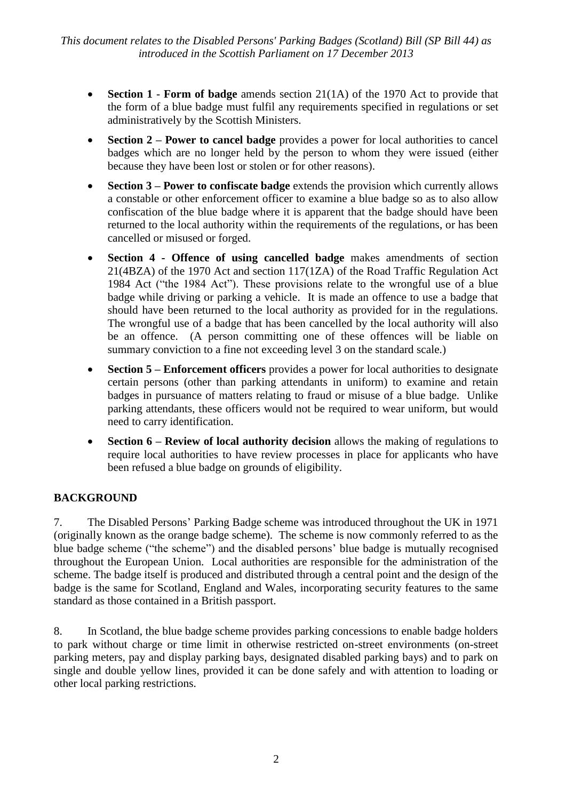- **Section 1 Form of badge** amends section 21(1A) of the 1970 Act to provide that the form of a blue badge must fulfil any requirements specified in regulations or set administratively by the Scottish Ministers.
- **Section 2 – Power to cancel badge** provides a power for local authorities to cancel badges which are no longer held by the person to whom they were issued (either because they have been lost or stolen or for other reasons).
- **Section 3 Power to confiscate badge** extends the provision which currently allows a constable or other enforcement officer to examine a blue badge so as to also allow confiscation of the blue badge where it is apparent that the badge should have been returned to the local authority within the requirements of the regulations, or has been cancelled or misused or forged.
- **Section 4 - Offence of using cancelled badge** makes amendments of section 21(4BZA) of the 1970 Act and section 117(1ZA) of the Road Traffic Regulation Act 1984 Act ("the 1984 Act"). These provisions relate to the wrongful use of a blue badge while driving or parking a vehicle. It is made an offence to use a badge that should have been returned to the local authority as provided for in the regulations. The wrongful use of a badge that has been cancelled by the local authority will also be an offence. (A person committing one of these offences will be liable on summary conviction to a fine not exceeding level 3 on the standard scale.)
- **Section 5 Enforcement officers** provides a power for local authorities to designate certain persons (other than parking attendants in uniform) to examine and retain badges in pursuance of matters relating to fraud or misuse of a blue badge. Unlike parking attendants, these officers would not be required to wear uniform, but would need to carry identification.
- **Section 6 – Review of local authority decision** allows the making of regulations to require local authorities to have review processes in place for applicants who have been refused a blue badge on grounds of eligibility.

## **BACKGROUND**

7. The Disabled Persons' Parking Badge scheme was introduced throughout the UK in 1971 (originally known as the orange badge scheme). The scheme is now commonly referred to as the blue badge scheme ("the scheme") and the disabled persons' blue badge is mutually recognised throughout the European Union. Local authorities are responsible for the administration of the scheme. The badge itself is produced and distributed through a central point and the design of the badge is the same for Scotland, England and Wales, incorporating security features to the same standard as those contained in a British passport.

8. In Scotland, the blue badge scheme provides parking concessions to enable badge holders to park without charge or time limit in otherwise restricted on-street environments (on-street parking meters, pay and display parking bays, designated disabled parking bays) and to park on single and double yellow lines, provided it can be done safely and with attention to loading or other local parking restrictions.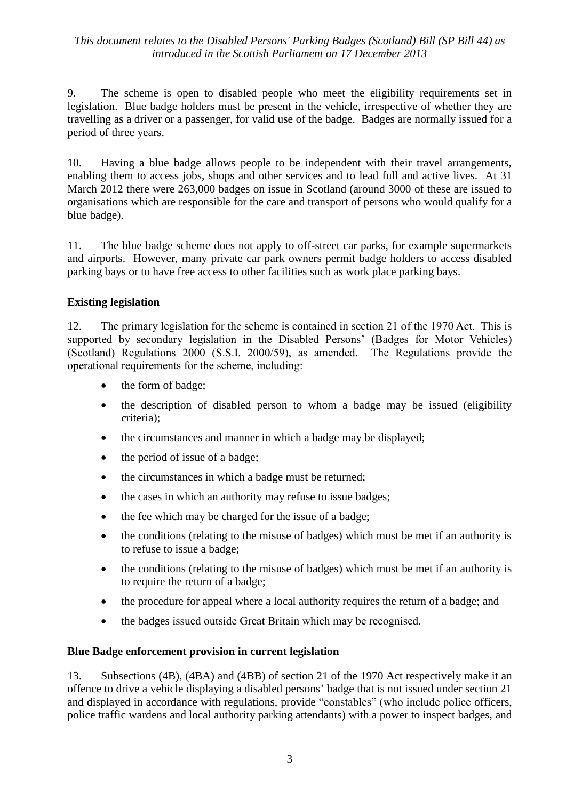9. The scheme is open to disabled people who meet the eligibility requirements set in legislation. Blue badge holders must be present in the vehicle, irrespective of whether they are travelling as a driver or a passenger, for valid use of the badge. Badges are normally issued for a period of three years.

10. Having a blue badge allows people to be independent with their travel arrangements, enabling them to access jobs, shops and other services and to lead full and active lives. At 31 March 2012 there were 263,000 badges on issue in Scotland (around 3000 of these are issued to organisations which are responsible for the care and transport of persons who would qualify for a blue badge).

11. The blue badge scheme does not apply to off-street car parks, for example supermarkets and airports. However, many private car park owners permit badge holders to access disabled parking bays or to have free access to other facilities such as work place parking bays.

#### **Existing legislation**

12. The primary legislation for the scheme is contained in section 21 of the 1970 Act. This is supported by secondary legislation in the Disabled Persons' (Badges for Motor Vehicles) (Scotland) Regulations 2000 (S.S.I. 2000/59), as amended. The Regulations provide the operational requirements for the scheme, including:

- the form of badge;
- the description of disabled person to whom a badge may be issued (eligibility criteria);
- the circumstances and manner in which a badge may be displayed;
- $\bullet$  the period of issue of a badge;
- the circumstances in which a badge must be returned;
- the cases in which an authority may refuse to issue badges;
- the fee which may be charged for the issue of a badge;
- the conditions (relating to the misuse of badges) which must be met if an authority is to refuse to issue a badge;
- the conditions (relating to the misuse of badges) which must be met if an authority is to require the return of a badge;
- the procedure for appeal where a local authority requires the return of a badge; and
- the badges issued outside Great Britain which may be recognised.

#### **Blue Badge enforcement provision in current legislation**

13. Subsections (4B), (4BA) and (4BB) of section 21 of the 1970 Act respectively make it an offence to drive a vehicle displaying a disabled persons' badge that is not issued under section 21 and displayed in accordance with regulations, provide "constables" (who include police officers, police traffic wardens and local authority parking attendants) with a power to inspect badges, and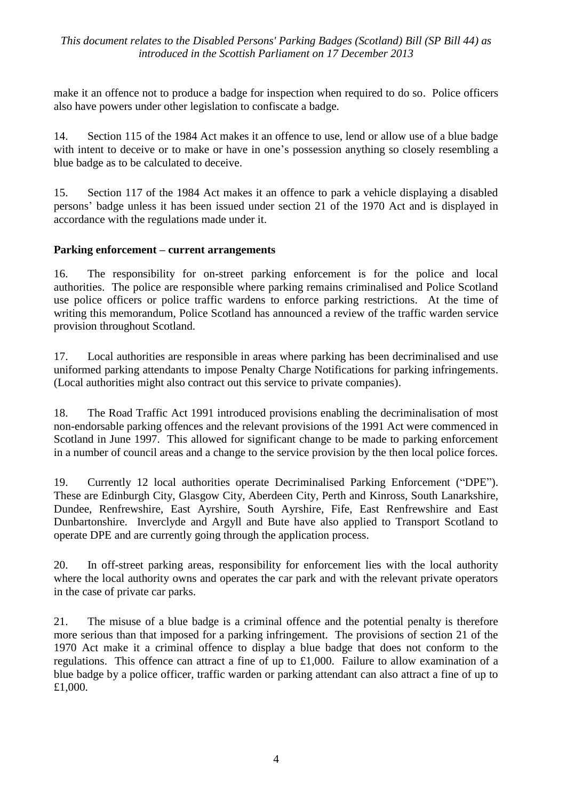make it an offence not to produce a badge for inspection when required to do so. Police officers also have powers under other legislation to confiscate a badge.

14. Section 115 of the 1984 Act makes it an offence to use, lend or allow use of a blue badge with intent to deceive or to make or have in one's possession anything so closely resembling a blue badge as to be calculated to deceive.

15. Section 117 of the 1984 Act makes it an offence to park a vehicle displaying a disabled persons' badge unless it has been issued under section 21 of the 1970 Act and is displayed in accordance with the regulations made under it.

#### **Parking enforcement – current arrangements**

16. The responsibility for on-street parking enforcement is for the police and local authorities. The police are responsible where parking remains criminalised and Police Scotland use police officers or police traffic wardens to enforce parking restrictions. At the time of writing this memorandum, Police Scotland has announced a review of the traffic warden service provision throughout Scotland.

17. Local authorities are responsible in areas where parking has been decriminalised and use uniformed parking attendants to impose Penalty Charge Notifications for parking infringements. (Local authorities might also contract out this service to private companies).

18. The Road Traffic Act 1991 introduced provisions enabling the decriminalisation of most non-endorsable parking offences and the relevant provisions of the 1991 Act were commenced in Scotland in June 1997. This allowed for significant change to be made to parking enforcement in a number of council areas and a change to the service provision by the then local police forces.

19. Currently 12 local authorities operate Decriminalised Parking Enforcement ("DPE"). These are Edinburgh City, Glasgow City, Aberdeen City, Perth and Kinross, South Lanarkshire, Dundee, Renfrewshire, East Ayrshire, South Ayrshire, Fife, East Renfrewshire and East Dunbartonshire. Inverclyde and Argyll and Bute have also applied to Transport Scotland to operate DPE and are currently going through the application process.

20. In off-street parking areas, responsibility for enforcement lies with the local authority where the local authority owns and operates the car park and with the relevant private operators in the case of private car parks.

21. The misuse of a blue badge is a criminal offence and the potential penalty is therefore more serious than that imposed for a parking infringement. The provisions of section 21 of the 1970 Act make it a criminal offence to display a blue badge that does not conform to the regulations. This offence can attract a fine of up to £1,000. Failure to allow examination of a blue badge by a police officer, traffic warden or parking attendant can also attract a fine of up to £1,000.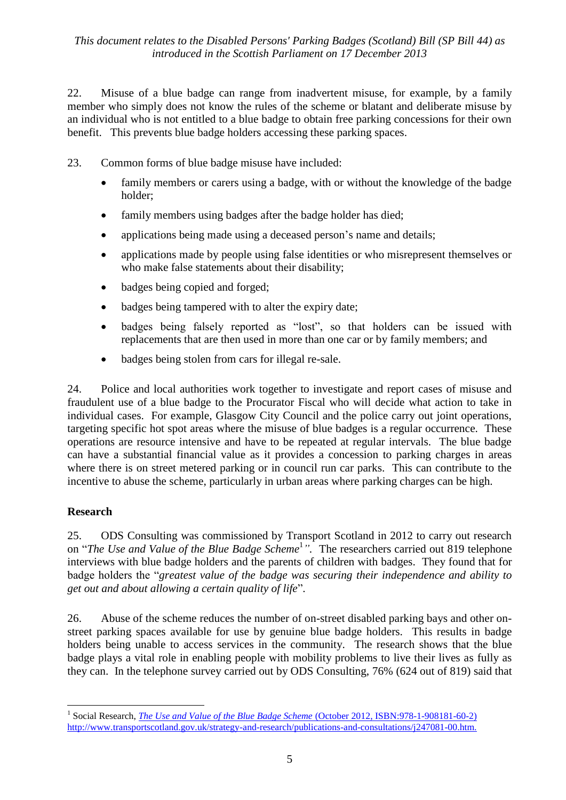22. Misuse of a blue badge can range from inadvertent misuse, for example, by a family member who simply does not know the rules of the scheme or blatant and deliberate misuse by an individual who is not entitled to a blue badge to obtain free parking concessions for their own benefit. This prevents blue badge holders accessing these parking spaces.

23. Common forms of blue badge misuse have included:

- family members or carers using a badge, with or without the knowledge of the badge holder;
- family members using badges after the badge holder has died;
- applications being made using a deceased person's name and details;
- applications made by people using false identities or who misrepresent themselves or who make false statements about their disability;
- badges being copied and forged;
- badges being tampered with to alter the expiry date;
- badges being falsely reported as "lost", so that holders can be issued with replacements that are then used in more than one car or by family members; and
- badges being stolen from cars for illegal re-sale.

24. Police and local authorities work together to investigate and report cases of misuse and fraudulent use of a blue badge to the Procurator Fiscal who will decide what action to take in individual cases. For example, Glasgow City Council and the police carry out joint operations, targeting specific hot spot areas where the misuse of blue badges is a regular occurrence. These operations are resource intensive and have to be repeated at regular intervals. The blue badge can have a substantial financial value as it provides a concession to parking charges in areas where there is on street metered parking or in council run car parks. This can contribute to the incentive to abuse the scheme, particularly in urban areas where parking charges can be high.

#### **Research**

 $\overline{a}$ 

25. ODS Consulting was commissioned by Transport Scotland in 2012 to carry out research on "*The Use and Value of the Blue Badge Scheme*<sup>1</sup> *".* The researchers carried out 819 telephone interviews with blue badge holders and the parents of children with badges. They found that for badge holders the "*greatest value of the badge was securing their independence and ability to get out and about allowing a certain quality of life*".

26. Abuse of the scheme reduces the number of on-street disabled parking bays and other onstreet parking spaces available for use by genuine blue badge holders. This results in badge holders being unable to access services in the community. The research shows that the blue badge plays a vital role in enabling people with mobility problems to live their lives as fully as they can. In the telephone survey carried out by ODS Consulting, 76% (624 out of 819) said that

<sup>&</sup>lt;sup>1</sup> Social Research, *[The Use and Value of the Blue Badge Scheme](http://www.transportscotland.gov.uk/strategy-and-research/publications-and-consultations/j247081-00.htm)* (October 2012, ISBN:978-1-908181-60-2) [http://www.transportscotland.gov.uk/strategy-and-research/publications-and-consultations/j247081-00.htm.](http://www.transportscotland.gov.uk/strategy-and-research/publications-and-consultations/j247081-00.htm)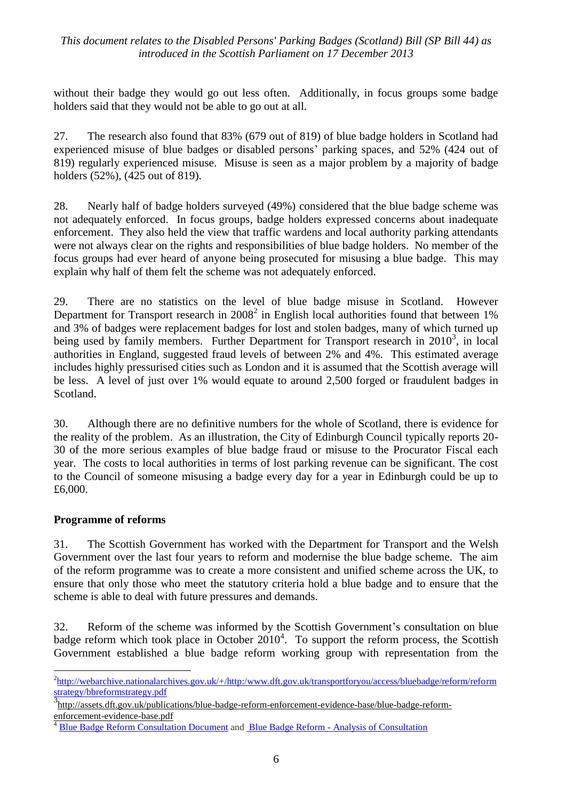without their badge they would go out less often. Additionally, in focus groups some badge holders said that they would not be able to go out at all.

27. The research also found that 83% (679 out of 819) of blue badge holders in Scotland had experienced misuse of blue badges or disabled persons' parking spaces, and 52% (424 out of 819) regularly experienced misuse. Misuse is seen as a major problem by a majority of badge holders (52%), (425 out of 819).

28. Nearly half of badge holders surveyed (49%) considered that the blue badge scheme was not adequately enforced. In focus groups, badge holders expressed concerns about inadequate enforcement. They also held the view that traffic wardens and local authority parking attendants were not always clear on the rights and responsibilities of blue badge holders. No member of the focus groups had ever heard of anyone being prosecuted for misusing a blue badge. This may explain why half of them felt the scheme was not adequately enforced.

29. There are no statistics on the level of blue badge misuse in Scotland. However Department for Transport research in  $2008<sup>2</sup>$  in English local authorities found that between 1% and 3% of badges were replacement badges for lost and stolen badges, many of which turned up being used by family members. Further Department for Transport research in 2010<sup>3</sup>, in local authorities in England, suggested fraud levels of between 2% and 4%. This estimated average includes highly pressurised cities such as London and it is assumed that the Scottish average will be less. A level of just over 1% would equate to around 2,500 forged or fraudulent badges in Scotland.

30. Although there are no definitive numbers for the whole of Scotland, there is evidence for the reality of the problem. As an illustration, the City of Edinburgh Council typically reports 20- 30 of the more serious examples of blue badge fraud or misuse to the Procurator Fiscal each year. The costs to local authorities in terms of lost parking revenue can be significant. The cost to the Council of someone misusing a badge every day for a year in Edinburgh could be up to £6,000.

#### **Programme of reforms**

31. The Scottish Government has worked with the Department for Transport and the Welsh Government over the last four years to reform and modernise the blue badge scheme. The aim of the reform programme was to create a more consistent and unified scheme across the UK, to ensure that only those who meet the statutory criteria hold a blue badge and to ensure that the scheme is able to deal with future pressures and demands.

32. Reform of the scheme was informed by the Scottish Government's consultation on blue badge reform which took place in October  $2010<sup>4</sup>$ . To support the reform process, the Scottish Government established a blue badge reform working group with representation from the

<sup>&</sup>lt;u>.</u> <sup>2</sup>[http://webarchive.nationalarchives.gov.uk/+/http:/www.dft.gov.uk/transportforyou/access/bluebadge/reform/reform](http://webarchive.nationalarchives.gov.uk/+/http:/www.dft.gov.uk/transportforyou/access/bluebadge/reform/reformstrategy/bbreformstrategy.pdf) [strategy/bbreformstrategy.pdf](http://webarchive.nationalarchives.gov.uk/+/http:/www.dft.gov.uk/transportforyou/access/bluebadge/reform/reformstrategy/bbreformstrategy.pdf)

<sup>3</sup> [http://assets.dft.gov.uk/publications/blue-badge-reform-enforcement-evidence-base/blue-badge-reform](http://assets.dft.gov.uk/publications/blue-badge-reform-enforcement-evidence-base/blue-badge-reform-enforcement-evidence-base.pdf)[enforcement-evidence-base.pdf](http://assets.dft.gov.uk/publications/blue-badge-reform-enforcement-evidence-base/blue-badge-reform-enforcement-evidence-base.pdf)

<sup>4</sup> [Blue Badge Reform Consultation Document](http://www.transportscotland.gov.uk/files/documents/roads/Blue_Badge_Reform_-_Consultation_-_Consultation_Document.pdf) and Blue Badge Reform - [Analysis of Consultation](http://www.scotland.gov.uk/Publications/2010/12/22153337/0)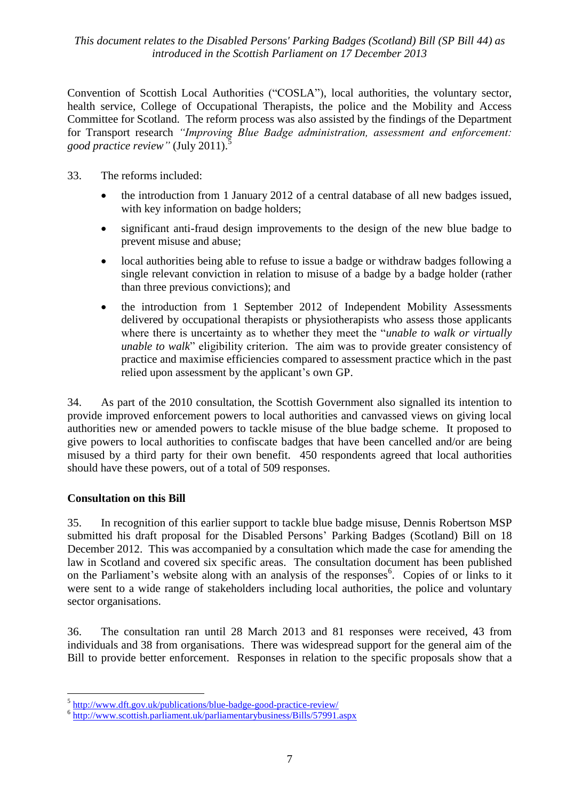Convention of Scottish Local Authorities ("COSLA"), local authorities, the voluntary sector, health service, College of Occupational Therapists, the police and the Mobility and Access Committee for Scotland. The reform process was also assisted by the findings of the Department for Transport research *"Improving Blue Badge administration, assessment and enforcement: good practice review"* (July 2011).

- 33. The reforms included:
	- the introduction from 1 January 2012 of a central database of all new badges issued, with key information on badge holders;
	- significant anti-fraud design improvements to the design of the new blue badge to prevent misuse and abuse;
	- local authorities being able to refuse to issue a badge or withdraw badges following a single relevant conviction in relation to misuse of a badge by a badge holder (rather than three previous convictions); and
	- the introduction from 1 September 2012 of Independent Mobility Assessments delivered by occupational therapists or physiotherapists who assess those applicants where there is uncertainty as to whether they meet the "*unable to walk or virtually unable to walk*" eligibility criterion. The aim was to provide greater consistency of practice and maximise efficiencies compared to assessment practice which in the past relied upon assessment by the applicant's own GP.

34. As part of the 2010 consultation, the Scottish Government also signalled its intention to provide improved enforcement powers to local authorities and canvassed views on giving local authorities new or amended powers to tackle misuse of the blue badge scheme. It proposed to give powers to local authorities to confiscate badges that have been cancelled and/or are being misused by a third party for their own benefit. 450 respondents agreed that local authorities should have these powers, out of a total of 509 responses.

#### **Consultation on this Bill**

35. In recognition of this earlier support to tackle blue badge misuse, Dennis Robertson MSP submitted his draft proposal for the Disabled Persons' Parking Badges (Scotland) Bill on 18 December 2012. This was accompanied by a consultation which made the case for amending the law in Scotland and covered six specific areas. The consultation document has been published on the Parliament's website along with an analysis of the responses<sup>6</sup>. Copies of or links to it were sent to a wide range of stakeholders including local authorities, the police and voluntary sector organisations.

36. The consultation ran until 28 March 2013 and 81 responses were received, 43 from individuals and 38 from organisations. There was widespread support for the general aim of the Bill to provide better enforcement. Responses in relation to the specific proposals show that a

 5 <http://www.dft.gov.uk/publications/blue-badge-good-practice-review/>

<sup>&</sup>lt;sup>6</sup> <http://www.scottish.parliament.uk/parliamentarybusiness/Bills/57991.aspx>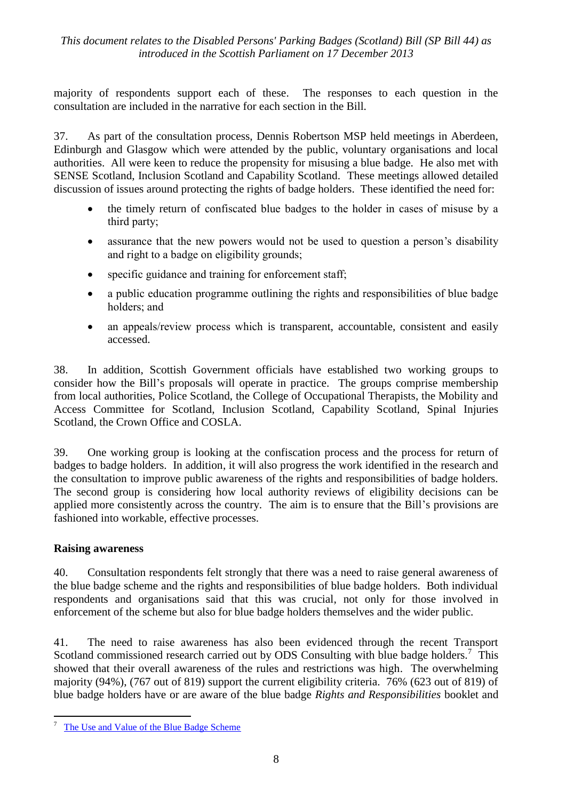majority of respondents support each of these. The responses to each question in the consultation are included in the narrative for each section in the Bill.

37. As part of the consultation process, Dennis Robertson MSP held meetings in Aberdeen, Edinburgh and Glasgow which were attended by the public, voluntary organisations and local authorities. All were keen to reduce the propensity for misusing a blue badge. He also met with SENSE Scotland, Inclusion Scotland and Capability Scotland. These meetings allowed detailed discussion of issues around protecting the rights of badge holders. These identified the need for:

- the timely return of confiscated blue badges to the holder in cases of misuse by a third party;
- assurance that the new powers would not be used to question a person's disability and right to a badge on eligibility grounds;
- specific guidance and training for enforcement staff;
- a public education programme outlining the rights and responsibilities of blue badge holders; and
- an appeals/review process which is transparent, accountable, consistent and easily accessed.

38. In addition, Scottish Government officials have established two working groups to consider how the Bill's proposals will operate in practice. The groups comprise membership from local authorities, Police Scotland, the College of Occupational Therapists, the Mobility and Access Committee for Scotland, Inclusion Scotland, Capability Scotland, Spinal Injuries Scotland, the Crown Office and COSLA.

39. One working group is looking at the confiscation process and the process for return of badges to badge holders. In addition, it will also progress the work identified in the research and the consultation to improve public awareness of the rights and responsibilities of badge holders. The second group is considering how local authority reviews of eligibility decisions can be applied more consistently across the country. The aim is to ensure that the Bill's provisions are fashioned into workable, effective processes.

#### **Raising awareness**

1

40. Consultation respondents felt strongly that there was a need to raise general awareness of the blue badge scheme and the rights and responsibilities of blue badge holders. Both individual respondents and organisations said that this was crucial, not only for those involved in enforcement of the scheme but also for blue badge holders themselves and the wider public.

41. The need to raise awareness has also been evidenced through the recent Transport Scotland commissioned research carried out by ODS Consulting with blue badge holders.<sup>7</sup> This showed that their overall awareness of the rules and restrictions was high. The overwhelming majority (94%), (767 out of 819) support the current eligibility criteria. 76% (623 out of 819) of blue badge holders have or are aware of the blue badge *Rights and Responsibilities* booklet and

<sup>7</sup> [The Use and Value of the Blue Badge Scheme](http://www.transportscotland.gov.uk/strategy-and-research/publications-and-consultations/j247081-00.htm)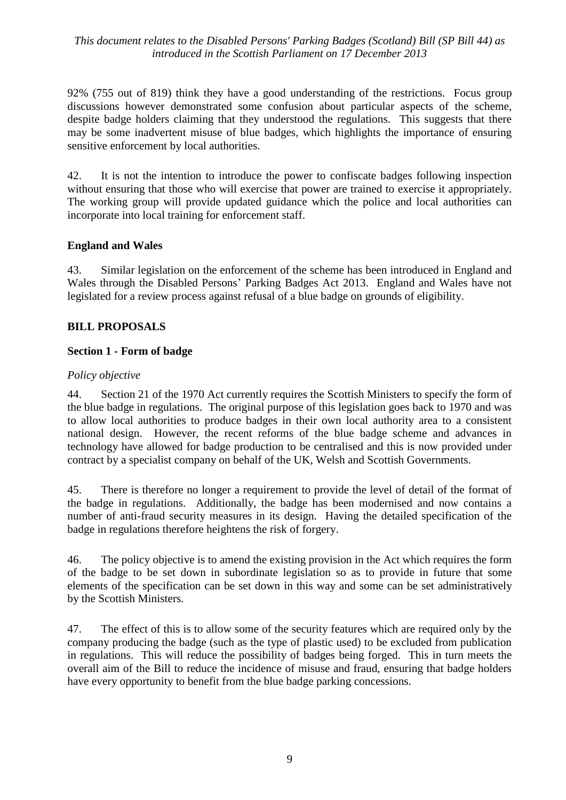92% (755 out of 819) think they have a good understanding of the restrictions. Focus group discussions however demonstrated some confusion about particular aspects of the scheme, despite badge holders claiming that they understood the regulations. This suggests that there may be some inadvertent misuse of blue badges, which highlights the importance of ensuring sensitive enforcement by local authorities.

42. It is not the intention to introduce the power to confiscate badges following inspection without ensuring that those who will exercise that power are trained to exercise it appropriately. The working group will provide updated guidance which the police and local authorities can incorporate into local training for enforcement staff.

#### **England and Wales**

43. Similar legislation on the enforcement of the scheme has been introduced in England and Wales through the Disabled Persons' Parking Badges Act 2013. England and Wales have not legislated for a review process against refusal of a blue badge on grounds of eligibility.

#### **BILL PROPOSALS**

#### **Section 1 - Form of badge**

#### *Policy objective*

44. Section 21 of the 1970 Act currently requires the Scottish Ministers to specify the form of the blue badge in regulations.The original purpose of this legislation goes back to 1970 and was to allow local authorities to produce badges in their own local authority area to a consistent national design. However, the recent reforms of the blue badge scheme and advances in technology have allowed for badge production to be centralised and this is now provided under contract by a specialist company on behalf of the UK, Welsh and Scottish Governments.

45. There is therefore no longer a requirement to provide the level of detail of the format of the badge in regulations. Additionally, the badge has been modernised and now contains a number of anti-fraud security measures in its design. Having the detailed specification of the badge in regulations therefore heightens the risk of forgery.

46. The policy objective is to amend the existing provision in the Act which requires the form of the badge to be set down in subordinate legislation so as to provide in future that some elements of the specification can be set down in this way and some can be set administratively by the Scottish Ministers.

47. The effect of this is to allow some of the security features which are required only by the company producing the badge (such as the type of plastic used) to be excluded from publication in regulations. This will reduce the possibility of badges being forged. This in turn meets the overall aim of the Bill to reduce the incidence of misuse and fraud, ensuring that badge holders have every opportunity to benefit from the blue badge parking concessions.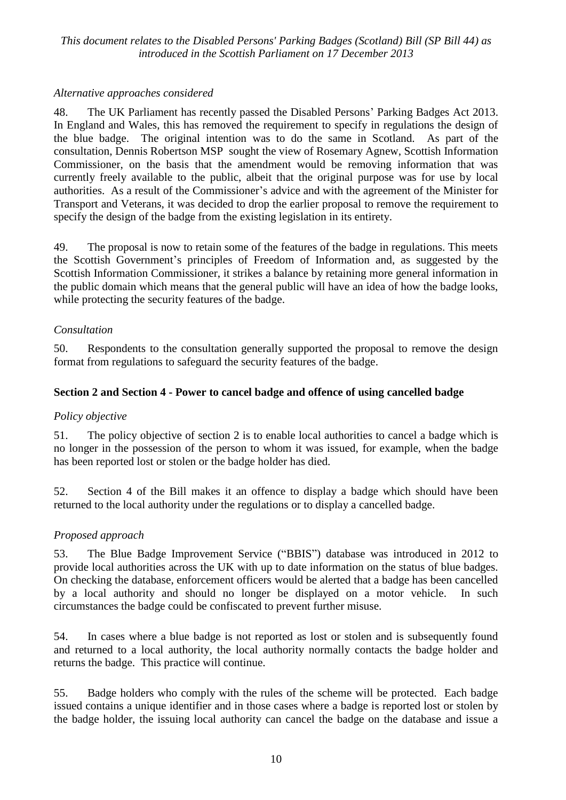#### *Alternative approaches considered*

48. The UK Parliament has recently passed the Disabled Persons' Parking Badges Act 2013. In England and Wales, this has removed the requirement to specify in regulations the design of the blue badge. The original intention was to do the same in Scotland. As part of the consultation, Dennis Robertson MSP sought the view of Rosemary Agnew, Scottish Information Commissioner, on the basis that the amendment would be removing information that was currently freely available to the public, albeit that the original purpose was for use by local authorities. As a result of the Commissioner's advice and with the agreement of the Minister for Transport and Veterans, it was decided to drop the earlier proposal to remove the requirement to specify the design of the badge from the existing legislation in its entirety.

49. The proposal is now to retain some of the features of the badge in regulations. This meets the Scottish Government's principles of Freedom of Information and, as suggested by the Scottish Information Commissioner, it strikes a balance by retaining more general information in the public domain which means that the general public will have an idea of how the badge looks, while protecting the security features of the badge.

#### *Consultation*

50. Respondents to the consultation generally supported the proposal to remove the design format from regulations to safeguard the security features of the badge.

#### **Section 2 and Section 4 - Power to cancel badge and offence of using cancelled badge**

#### *Policy objective*

51. The policy objective of section 2 is to enable local authorities to cancel a badge which is no longer in the possession of the person to whom it was issued, for example, when the badge has been reported lost or stolen or the badge holder has died.

52. Section 4 of the Bill makes it an offence to display a badge which should have been returned to the local authority under the regulations or to display a cancelled badge.

#### *Proposed approach*

53. The Blue Badge Improvement Service ("BBIS") database was introduced in 2012 to provide local authorities across the UK with up to date information on the status of blue badges. On checking the database, enforcement officers would be alerted that a badge has been cancelled by a local authority and should no longer be displayed on a motor vehicle. In such circumstances the badge could be confiscated to prevent further misuse.

54. In cases where a blue badge is not reported as lost or stolen and is subsequently found and returned to a local authority, the local authority normally contacts the badge holder and returns the badge. This practice will continue.

55. Badge holders who comply with the rules of the scheme will be protected. Each badge issued contains a unique identifier and in those cases where a badge is reported lost or stolen by the badge holder, the issuing local authority can cancel the badge on the database and issue a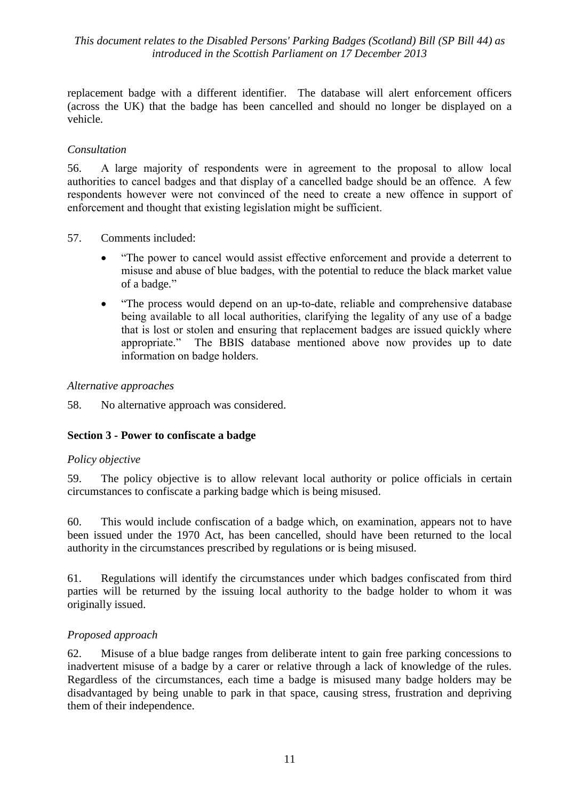replacement badge with a different identifier. The database will alert enforcement officers (across the UK) that the badge has been cancelled and should no longer be displayed on a vehicle.

#### *Consultation*

56. A large majority of respondents were in agreement to the proposal to allow local authorities to cancel badges and that display of a cancelled badge should be an offence. A few respondents however were not convinced of the need to create a new offence in support of enforcement and thought that existing legislation might be sufficient.

57. Comments included:

- "The power to cancel would assist effective enforcement and provide a deterrent to misuse and abuse of blue badges, with the potential to reduce the black market value of a badge."
- "The process would depend on an up-to-date, reliable and comprehensive database being available to all local authorities, clarifying the legality of any use of a badge that is lost or stolen and ensuring that replacement badges are issued quickly where appropriate." The BBIS database mentioned above now provides up to date information on badge holders.

#### *Alternative approaches*

58. No alternative approach was considered.

#### **Section 3 - Power to confiscate a badge**

#### *Policy objective*

59. The policy objective is to allow relevant local authority or police officials in certain circumstances to confiscate a parking badge which is being misused.

60. This would include confiscation of a badge which, on examination, appears not to have been issued under the 1970 Act, has been cancelled, should have been returned to the local authority in the circumstances prescribed by regulations or is being misused.

61. Regulations will identify the circumstances under which badges confiscated from third parties will be returned by the issuing local authority to the badge holder to whom it was originally issued.

#### *Proposed approach*

62. Misuse of a blue badge ranges from deliberate intent to gain free parking concessions to inadvertent misuse of a badge by a carer or relative through a lack of knowledge of the rules. Regardless of the circumstances, each time a badge is misused many badge holders may be disadvantaged by being unable to park in that space, causing stress, frustration and depriving them of their independence.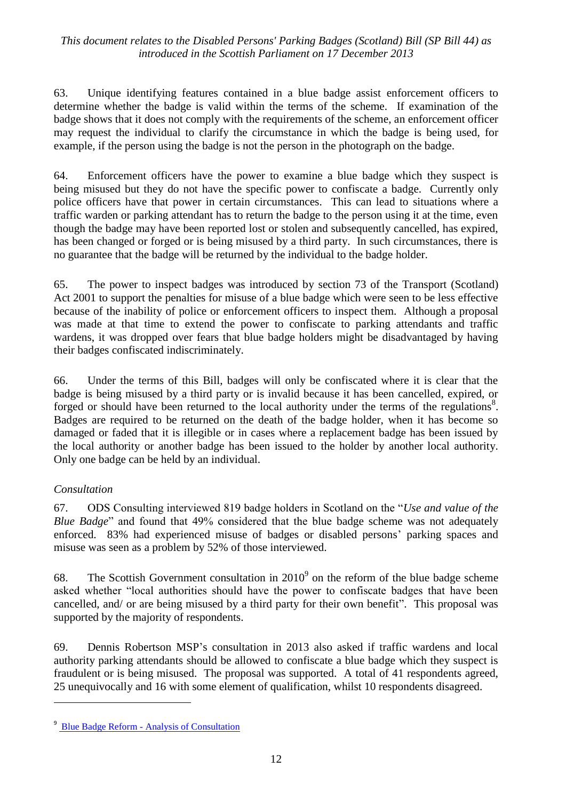63. Unique identifying features contained in a blue badge assist enforcement officers to determine whether the badge is valid within the terms of the scheme. If examination of the badge shows that it does not comply with the requirements of the scheme, an enforcement officer may request the individual to clarify the circumstance in which the badge is being used, for example, if the person using the badge is not the person in the photograph on the badge.

64. Enforcement officers have the power to examine a blue badge which they suspect is being misused but they do not have the specific power to confiscate a badge. Currently only police officers have that power in certain circumstances. This can lead to situations where a traffic warden or parking attendant has to return the badge to the person using it at the time, even though the badge may have been reported lost or stolen and subsequently cancelled, has expired, has been changed or forged or is being misused by a third party. In such circumstances, there is no guarantee that the badge will be returned by the individual to the badge holder.

65. The power to inspect badges was introduced by section 73 of the Transport (Scotland) Act 2001 to support the penalties for misuse of a blue badge which were seen to be less effective because of the inability of police or enforcement officers to inspect them. Although a proposal was made at that time to extend the power to confiscate to parking attendants and traffic wardens, it was dropped over fears that blue badge holders might be disadvantaged by having their badges confiscated indiscriminately.

66. Under the terms of this Bill, badges will only be confiscated where it is clear that the badge is being misused by a third party or is invalid because it has been cancelled, expired, or forged or should have been returned to the local authority under the terms of the regulations<sup>8</sup>. Badges are required to be returned on the death of the badge holder, when it has become so damaged or faded that it is illegible or in cases where a replacement badge has been issued by the local authority or another badge has been issued to the holder by another local authority. Only one badge can be held by an individual.

## *Consultation*

<u>.</u>

67. ODS Consulting interviewed 819 badge holders in Scotland on the "*Use and value of the Blue Badge*" and found that 49% considered that the blue badge scheme was not adequately enforced. 83% had experienced misuse of badges or disabled persons' parking spaces and misuse was seen as a problem by 52% of those interviewed.

68. The Scottish Government consultation in  $2010<sup>9</sup>$  on the reform of the blue badge scheme asked whether "local authorities should have the power to confiscate badges that have been cancelled, and/ or are being misused by a third party for their own benefit". This proposal was supported by the majority of respondents.

69. Dennis Robertson MSP's consultation in 2013 also asked if traffic wardens and local authority parking attendants should be allowed to confiscate a blue badge which they suspect is fraudulent or is being misused. The proposal was supported. A total of 41 respondents agreed, 25 unequivocally and 16 with some element of qualification, whilst 10 respondents disagreed.

<sup>&</sup>lt;sup>9</sup> Blue Badge Reform - [Analysis of Consultation](http://www.scotland.gov.uk/Publications/2010/12/22153337/0)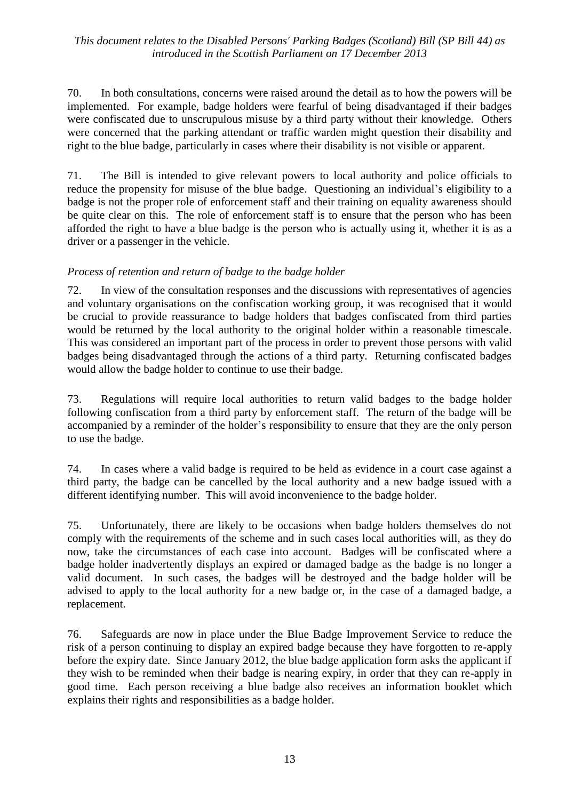70. In both consultations, concerns were raised around the detail as to how the powers will be implemented. For example, badge holders were fearful of being disadvantaged if their badges were confiscated due to unscrupulous misuse by a third party without their knowledge. Others were concerned that the parking attendant or traffic warden might question their disability and right to the blue badge, particularly in cases where their disability is not visible or apparent.

71. The Bill is intended to give relevant powers to local authority and police officials to reduce the propensity for misuse of the blue badge. Questioning an individual's eligibility to a badge is not the proper role of enforcement staff and their training on equality awareness should be quite clear on this. The role of enforcement staff is to ensure that the person who has been afforded the right to have a blue badge is the person who is actually using it, whether it is as a driver or a passenger in the vehicle.

#### *Process of retention and return of badge to the badge holder*

72. In view of the consultation responses and the discussions with representatives of agencies and voluntary organisations on the confiscation working group, it was recognised that it would be crucial to provide reassurance to badge holders that badges confiscated from third parties would be returned by the local authority to the original holder within a reasonable timescale. This was considered an important part of the process in order to prevent those persons with valid badges being disadvantaged through the actions of a third party. Returning confiscated badges would allow the badge holder to continue to use their badge.

73. Regulations will require local authorities to return valid badges to the badge holder following confiscation from a third party by enforcement staff. The return of the badge will be accompanied by a reminder of the holder's responsibility to ensure that they are the only person to use the badge.

74. In cases where a valid badge is required to be held as evidence in a court case against a third party, the badge can be cancelled by the local authority and a new badge issued with a different identifying number. This will avoid inconvenience to the badge holder.

75. Unfortunately, there are likely to be occasions when badge holders themselves do not comply with the requirements of the scheme and in such cases local authorities will, as they do now, take the circumstances of each case into account. Badges will be confiscated where a badge holder inadvertently displays an expired or damaged badge as the badge is no longer a valid document. In such cases, the badges will be destroyed and the badge holder will be advised to apply to the local authority for a new badge or, in the case of a damaged badge, a replacement.

76. Safeguards are now in place under the Blue Badge Improvement Service to reduce the risk of a person continuing to display an expired badge because they have forgotten to re-apply before the expiry date. Since January 2012, the blue badge application form asks the applicant if they wish to be reminded when their badge is nearing expiry, in order that they can re-apply in good time. Each person receiving a blue badge also receives an information booklet which explains their rights and responsibilities as a badge holder.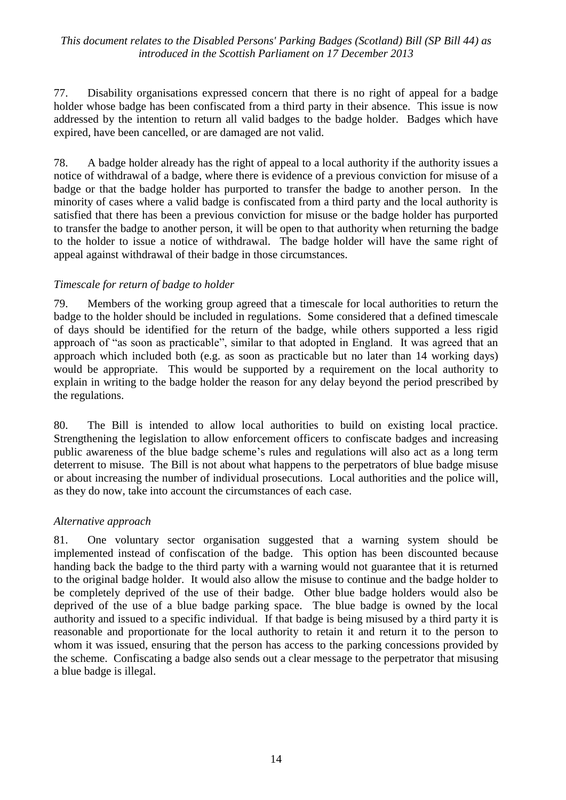77. Disability organisations expressed concern that there is no right of appeal for a badge holder whose badge has been confiscated from a third party in their absence. This issue is now addressed by the intention to return all valid badges to the badge holder. Badges which have expired, have been cancelled, or are damaged are not valid.

78. A badge holder already has the right of appeal to a local authority if the authority issues a notice of withdrawal of a badge, where there is evidence of a previous conviction for misuse of a badge or that the badge holder has purported to transfer the badge to another person. In the minority of cases where a valid badge is confiscated from a third party and the local authority is satisfied that there has been a previous conviction for misuse or the badge holder has purported to transfer the badge to another person, it will be open to that authority when returning the badge to the holder to issue a notice of withdrawal. The badge holder will have the same right of appeal against withdrawal of their badge in those circumstances.

### *Timescale for return of badge to holder*

79. Members of the working group agreed that a timescale for local authorities to return the badge to the holder should be included in regulations. Some considered that a defined timescale of days should be identified for the return of the badge, while others supported a less rigid approach of "as soon as practicable", similar to that adopted in England. It was agreed that an approach which included both (e.g. as soon as practicable but no later than 14 working days) would be appropriate. This would be supported by a requirement on the local authority to explain in writing to the badge holder the reason for any delay beyond the period prescribed by the regulations.

80. The Bill is intended to allow local authorities to build on existing local practice. Strengthening the legislation to allow enforcement officers to confiscate badges and increasing public awareness of the blue badge scheme's rules and regulations will also act as a long term deterrent to misuse. The Bill is not about what happens to the perpetrators of blue badge misuse or about increasing the number of individual prosecutions. Local authorities and the police will, as they do now, take into account the circumstances of each case.

#### *Alternative approach*

81. One voluntary sector organisation suggested that a warning system should be implemented instead of confiscation of the badge. This option has been discounted because handing back the badge to the third party with a warning would not guarantee that it is returned to the original badge holder. It would also allow the misuse to continue and the badge holder to be completely deprived of the use of their badge. Other blue badge holders would also be deprived of the use of a blue badge parking space. The blue badge is owned by the local authority and issued to a specific individual. If that badge is being misused by a third party it is reasonable and proportionate for the local authority to retain it and return it to the person to whom it was issued, ensuring that the person has access to the parking concessions provided by the scheme. Confiscating a badge also sends out a clear message to the perpetrator that misusing a blue badge is illegal.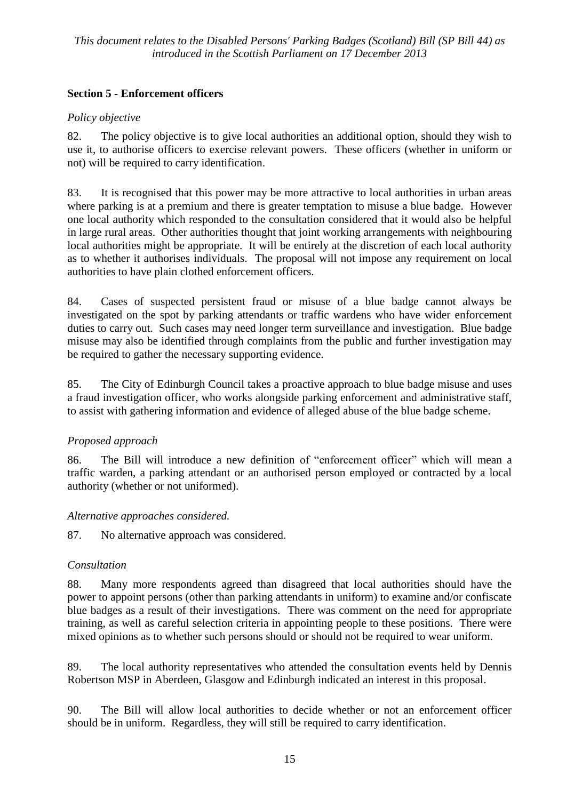## **Section 5 - Enforcement officers**

## *Policy objective*

82. The policy objective is to give local authorities an additional option, should they wish to use it, to authorise officers to exercise relevant powers. These officers (whether in uniform or not) will be required to carry identification.

83. It is recognised that this power may be more attractive to local authorities in urban areas where parking is at a premium and there is greater temptation to misuse a blue badge. However one local authority which responded to the consultation considered that it would also be helpful in large rural areas. Other authorities thought that joint working arrangements with neighbouring local authorities might be appropriate. It will be entirely at the discretion of each local authority as to whether it authorises individuals. The proposal will not impose any requirement on local authorities to have plain clothed enforcement officers.

84. Cases of suspected persistent fraud or misuse of a blue badge cannot always be investigated on the spot by parking attendants or traffic wardens who have wider enforcement duties to carry out. Such cases may need longer term surveillance and investigation. Blue badge misuse may also be identified through complaints from the public and further investigation may be required to gather the necessary supporting evidence.

85. The City of Edinburgh Council takes a proactive approach to blue badge misuse and uses a fraud investigation officer, who works alongside parking enforcement and administrative staff, to assist with gathering information and evidence of alleged abuse of the blue badge scheme.

## *Proposed approach*

86. The Bill will introduce a new definition of "enforcement officer" which will mean a traffic warden, a parking attendant or an authorised person employed or contracted by a local authority (whether or not uniformed).

## *Alternative approaches considered.*

87. No alternative approach was considered.

## *Consultation*

88. Many more respondents agreed than disagreed that local authorities should have the power to appoint persons (other than parking attendants in uniform) to examine and/or confiscate blue badges as a result of their investigations. There was comment on the need for appropriate training, as well as careful selection criteria in appointing people to these positions. There were mixed opinions as to whether such persons should or should not be required to wear uniform.

89. The local authority representatives who attended the consultation events held by Dennis Robertson MSP in Aberdeen, Glasgow and Edinburgh indicated an interest in this proposal.

90. The Bill will allow local authorities to decide whether or not an enforcement officer should be in uniform. Regardless, they will still be required to carry identification.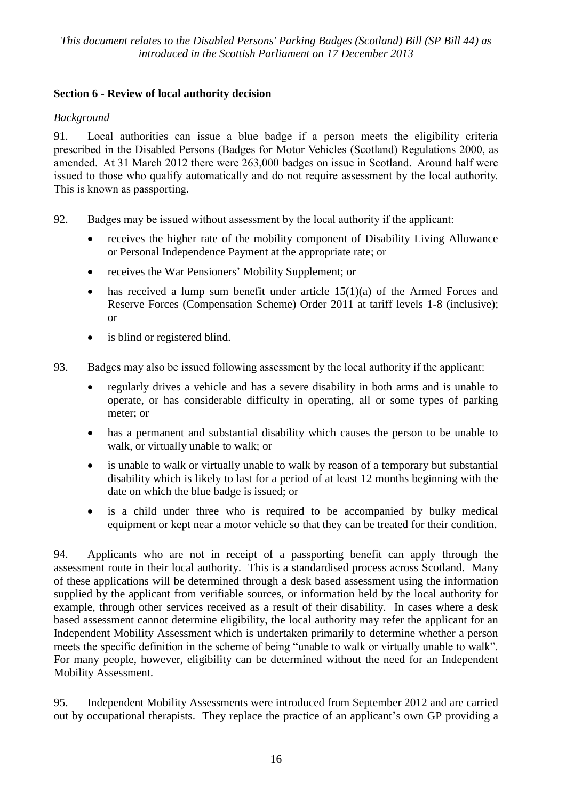## **Section 6 - Review of local authority decision**

#### *Background*

91. Local authorities can issue a blue badge if a person meets the eligibility criteria prescribed in the Disabled Persons (Badges for Motor Vehicles (Scotland) Regulations 2000, as amended. At 31 March 2012 there were 263,000 badges on issue in Scotland. Around half were issued to those who qualify automatically and do not require assessment by the local authority. This is known as passporting.

- 92. Badges may be issued without assessment by the local authority if the applicant:
	- receives the higher rate of the mobility component of Disability Living Allowance or Personal Independence Payment at the appropriate rate; or
	- receives the War Pensioners' Mobility Supplement; or
	- has received a lump sum benefit under article 15(1)(a) of the Armed Forces and Reserve Forces (Compensation Scheme) Order 2011 at tariff levels 1-8 (inclusive); or
	- is blind or registered blind.
- 93. Badges may also be issued following assessment by the local authority if the applicant:
	- regularly drives a vehicle and has a severe disability in both arms and is unable to operate, or has considerable difficulty in operating, all or some types of parking meter; or
	- has a permanent and substantial disability which causes the person to be unable to walk, or virtually unable to walk; or
	- is unable to walk or virtually unable to walk by reason of a temporary but substantial disability which is likely to last for a period of at least 12 months beginning with the date on which the blue badge is issued; or
	- is a child under three who is required to be accompanied by bulky medical equipment or kept near a motor vehicle so that they can be treated for their condition.

94. Applicants who are not in receipt of a passporting benefit can apply through the assessment route in their local authority. This is a standardised process across Scotland. Many of these applications will be determined through a desk based assessment using the information supplied by the applicant from verifiable sources, or information held by the local authority for example, through other services received as a result of their disability. In cases where a desk based assessment cannot determine eligibility, the local authority may refer the applicant for an Independent Mobility Assessment which is undertaken primarily to determine whether a person meets the specific definition in the scheme of being "unable to walk or virtually unable to walk". For many people, however, eligibility can be determined without the need for an Independent Mobility Assessment.

95. Independent Mobility Assessments were introduced from September 2012 and are carried out by occupational therapists. They replace the practice of an applicant's own GP providing a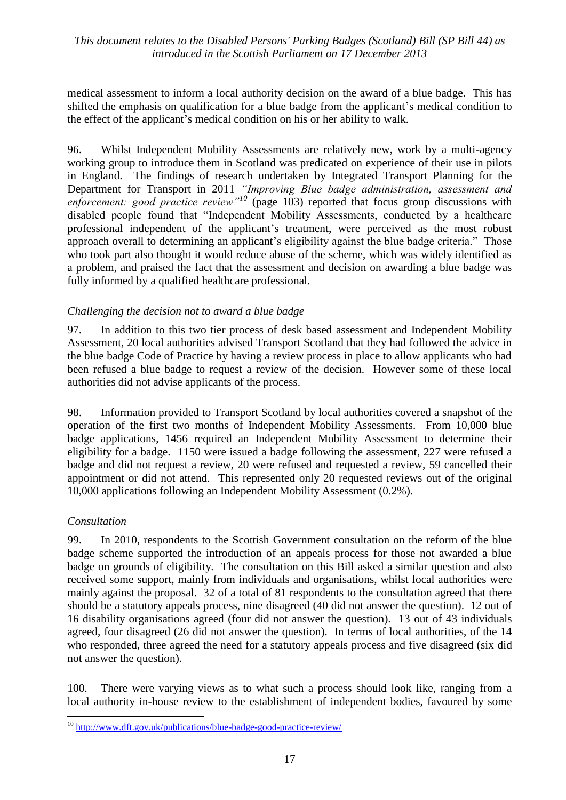medical assessment to inform a local authority decision on the award of a blue badge. This has shifted the emphasis on qualification for a blue badge from the applicant's medical condition to the effect of the applicant's medical condition on his or her ability to walk.

96. Whilst Independent Mobility Assessments are relatively new, work by a multi-agency working group to introduce them in Scotland was predicated on experience of their use in pilots in England. The findings of research undertaken by Integrated Transport Planning for the Department for Transport in 2011 *"Improving Blue badge administration, assessment and*  enforcement: good practice review<sup>"10</sup> (page 103) reported that focus group discussions with disabled people found that "Independent Mobility Assessments, conducted by a healthcare professional independent of the applicant's treatment, were perceived as the most robust approach overall to determining an applicant's eligibility against the blue badge criteria." Those who took part also thought it would reduce abuse of the scheme, which was widely identified as a problem, and praised the fact that the assessment and decision on awarding a blue badge was fully informed by a qualified healthcare professional.

#### *Challenging the decision not to award a blue badge*

97. In addition to this two tier process of desk based assessment and Independent Mobility Assessment, 20 local authorities advised Transport Scotland that they had followed the advice in the blue badge Code of Practice by having a review process in place to allow applicants who had been refused a blue badge to request a review of the decision. However some of these local authorities did not advise applicants of the process.

98. Information provided to Transport Scotland by local authorities covered a snapshot of the operation of the first two months of Independent Mobility Assessments. From 10,000 blue badge applications, 1456 required an Independent Mobility Assessment to determine their eligibility for a badge. 1150 were issued a badge following the assessment, 227 were refused a badge and did not request a review, 20 were refused and requested a review, 59 cancelled their appointment or did not attend. This represented only 20 requested reviews out of the original 10,000 applications following an Independent Mobility Assessment (0.2%).

#### *Consultation*

 $\overline{a}$ 

99. In 2010, respondents to the Scottish Government consultation on the reform of the blue badge scheme supported the introduction of an appeals process for those not awarded a blue badge on grounds of eligibility. The consultation on this Bill asked a similar question and also received some support, mainly from individuals and organisations, whilst local authorities were mainly against the proposal. 32 of a total of 81 respondents to the consultation agreed that there should be a statutory appeals process, nine disagreed (40 did not answer the question). 12 out of 16 disability organisations agreed (four did not answer the question). 13 out of 43 individuals agreed, four disagreed (26 did not answer the question). In terms of local authorities, of the 14 who responded, three agreed the need for a statutory appeals process and five disagreed (six did not answer the question).

100. There were varying views as to what such a process should look like, ranging from a local authority in-house review to the establishment of independent bodies, favoured by some

<sup>&</sup>lt;sup>10</sup> <http://www.dft.gov.uk/publications/blue-badge-good-practice-review/>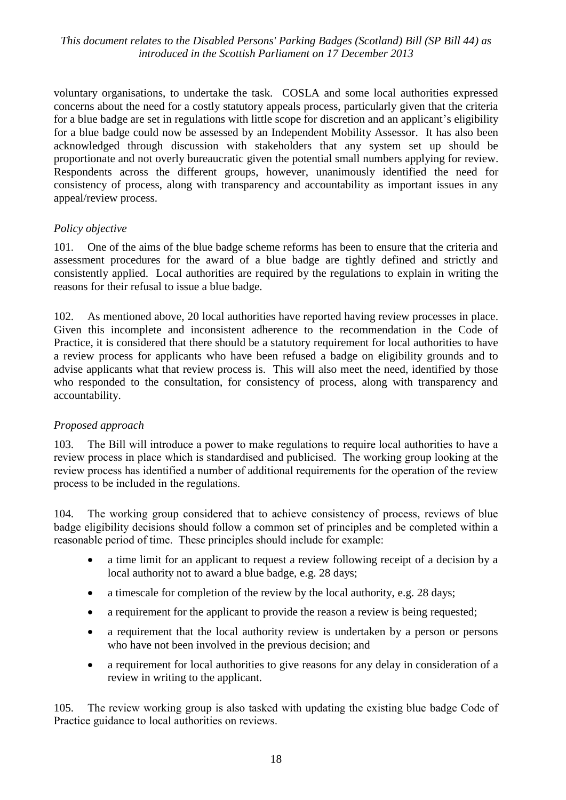voluntary organisations, to undertake the task. COSLA and some local authorities expressed concerns about the need for a costly statutory appeals process, particularly given that the criteria for a blue badge are set in regulations with little scope for discretion and an applicant's eligibility for a blue badge could now be assessed by an Independent Mobility Assessor. It has also been acknowledged through discussion with stakeholders that any system set up should be proportionate and not overly bureaucratic given the potential small numbers applying for review. Respondents across the different groups, however, unanimously identified the need for consistency of process, along with transparency and accountability as important issues in any appeal/review process.

#### *Policy objective*

101. One of the aims of the blue badge scheme reforms has been to ensure that the criteria and assessment procedures for the award of a blue badge are tightly defined and strictly and consistently applied. Local authorities are required by the regulations to explain in writing the reasons for their refusal to issue a blue badge.

102. As mentioned above, 20 local authorities have reported having review processes in place. Given this incomplete and inconsistent adherence to the recommendation in the Code of Practice, it is considered that there should be a statutory requirement for local authorities to have a review process for applicants who have been refused a badge on eligibility grounds and to advise applicants what that review process is. This will also meet the need, identified by those who responded to the consultation, for consistency of process, along with transparency and accountability.

#### *Proposed approach*

103. The Bill will introduce a power to make regulations to require local authorities to have a review process in place which is standardised and publicised. The working group looking at the review process has identified a number of additional requirements for the operation of the review process to be included in the regulations.

104. The working group considered that to achieve consistency of process, reviews of blue badge eligibility decisions should follow a common set of principles and be completed within a reasonable period of time. These principles should include for example:

- a time limit for an applicant to request a review following receipt of a decision by a local authority not to award a blue badge, e.g. 28 days;
- a timescale for completion of the review by the local authority, e.g. 28 days;
- a requirement for the applicant to provide the reason a review is being requested;
- a requirement that the local authority review is undertaken by a person or persons who have not been involved in the previous decision; and
- a requirement for local authorities to give reasons for any delay in consideration of a review in writing to the applicant.

105. The review working group is also tasked with updating the existing blue badge Code of Practice guidance to local authorities on reviews.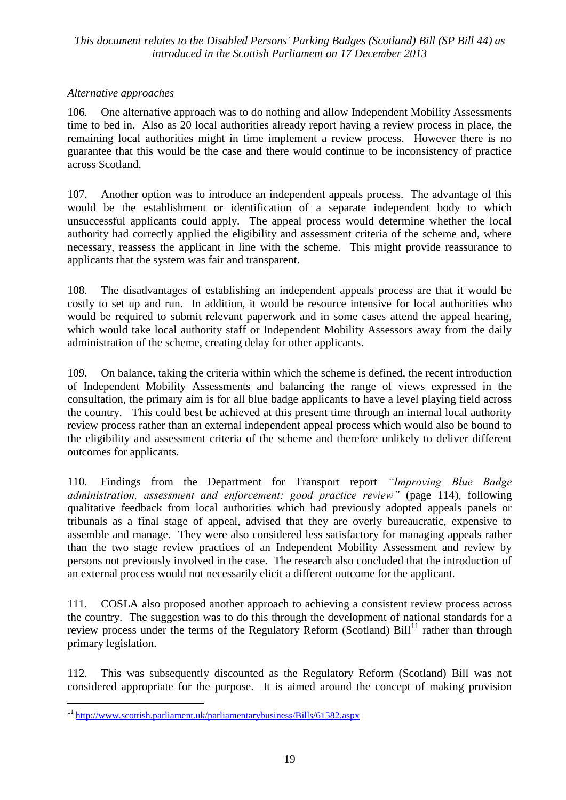#### *Alternative approaches*

106. One alternative approach was to do nothing and allow Independent Mobility Assessments time to bed in. Also as 20 local authorities already report having a review process in place, the remaining local authorities might in time implement a review process. However there is no guarantee that this would be the case and there would continue to be inconsistency of practice across Scotland.

107. Another option was to introduce an independent appeals process. The advantage of this would be the establishment or identification of a separate independent body to which unsuccessful applicants could apply. The appeal process would determine whether the local authority had correctly applied the eligibility and assessment criteria of the scheme and, where necessary, reassess the applicant in line with the scheme. This might provide reassurance to applicants that the system was fair and transparent.

108. The disadvantages of establishing an independent appeals process are that it would be costly to set up and run. In addition, it would be resource intensive for local authorities who would be required to submit relevant paperwork and in some cases attend the appeal hearing, which would take local authority staff or Independent Mobility Assessors away from the daily administration of the scheme, creating delay for other applicants.

109. On balance, taking the criteria within which the scheme is defined, the recent introduction of Independent Mobility Assessments and balancing the range of views expressed in the consultation, the primary aim is for all blue badge applicants to have a level playing field across the country. This could best be achieved at this present time through an internal local authority review process rather than an external independent appeal process which would also be bound to the eligibility and assessment criteria of the scheme and therefore unlikely to deliver different outcomes for applicants.

110. Findings from the Department for Transport report *"Improving Blue Badge administration, assessment and enforcement: good practice review"* (page 114), following qualitative feedback from local authorities which had previously adopted appeals panels or tribunals as a final stage of appeal, advised that they are overly bureaucratic, expensive to assemble and manage. They were also considered less satisfactory for managing appeals rather than the two stage review practices of an Independent Mobility Assessment and review by persons not previously involved in the case. The research also concluded that the introduction of an external process would not necessarily elicit a different outcome for the applicant.

111. COSLA also proposed another approach to achieving a consistent review process across the country. The suggestion was to do this through the development of national standards for a review process under the terms of the Regulatory Reform (Scotland)  $Bill<sup>11</sup>$  rather than through primary legislation.

112. This was subsequently discounted as the Regulatory Reform (Scotland) Bill was not considered appropriate for the purpose. It is aimed around the concept of making provision

 $\overline{a}$ 

<sup>&</sup>lt;sup>11</sup> <http://www.scottish.parliament.uk/parliamentarybusiness/Bills/61582.aspx>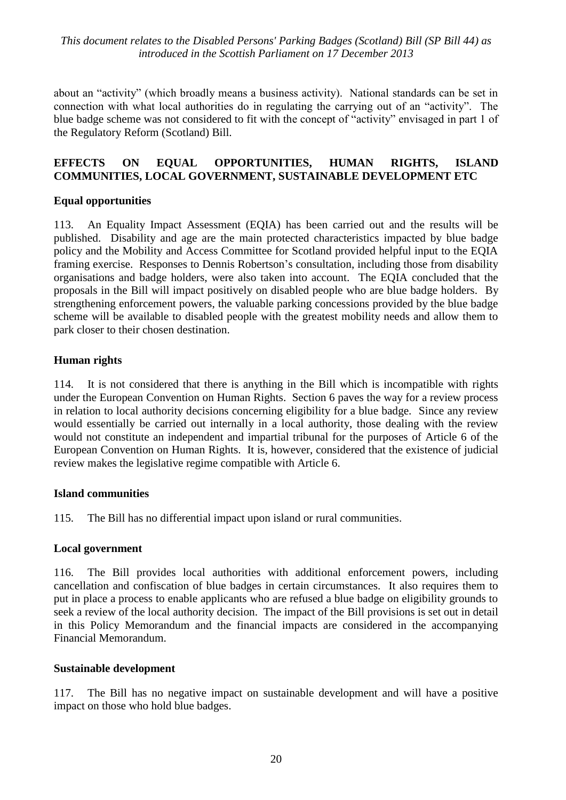about an "activity" (which broadly means a business activity). National standards can be set in connection with what local authorities do in regulating the carrying out of an "activity". The blue badge scheme was not considered to fit with the concept of "activity" envisaged in part 1 of the Regulatory Reform (Scotland) Bill.

#### **EFFECTS ON EQUAL OPPORTUNITIES, HUMAN RIGHTS, ISLAND COMMUNITIES, LOCAL GOVERNMENT, SUSTAINABLE DEVELOPMENT ETC**

#### **Equal opportunities**

113. An Equality Impact Assessment (EQIA) has been carried out and the results will be published. Disability and age are the main protected characteristics impacted by blue badge policy and the Mobility and Access Committee for Scotland provided helpful input to the EQIA framing exercise. Responses to Dennis Robertson's consultation, including those from disability organisations and badge holders, were also taken into account. The EQIA concluded that the proposals in the Bill will impact positively on disabled people who are blue badge holders. By strengthening enforcement powers, the valuable parking concessions provided by the blue badge scheme will be available to disabled people with the greatest mobility needs and allow them to park closer to their chosen destination.

#### **Human rights**

114. It is not considered that there is anything in the Bill which is incompatible with rights under the European Convention on Human Rights. Section 6 paves the way for a review process in relation to local authority decisions concerning eligibility for a blue badge. Since any review would essentially be carried out internally in a local authority, those dealing with the review would not constitute an independent and impartial tribunal for the purposes of Article 6 of the European Convention on Human Rights. It is, however, considered that the existence of judicial review makes the legislative regime compatible with Article 6.

#### **Island communities**

115. The Bill has no differential impact upon island or rural communities.

#### **Local government**

116. The Bill provides local authorities with additional enforcement powers, including cancellation and confiscation of blue badges in certain circumstances. It also requires them to put in place a process to enable applicants who are refused a blue badge on eligibility grounds to seek a review of the local authority decision. The impact of the Bill provisions is set out in detail in this Policy Memorandum and the financial impacts are considered in the accompanying Financial Memorandum.

#### **Sustainable development**

117. The Bill has no negative impact on sustainable development and will have a positive impact on those who hold blue badges.